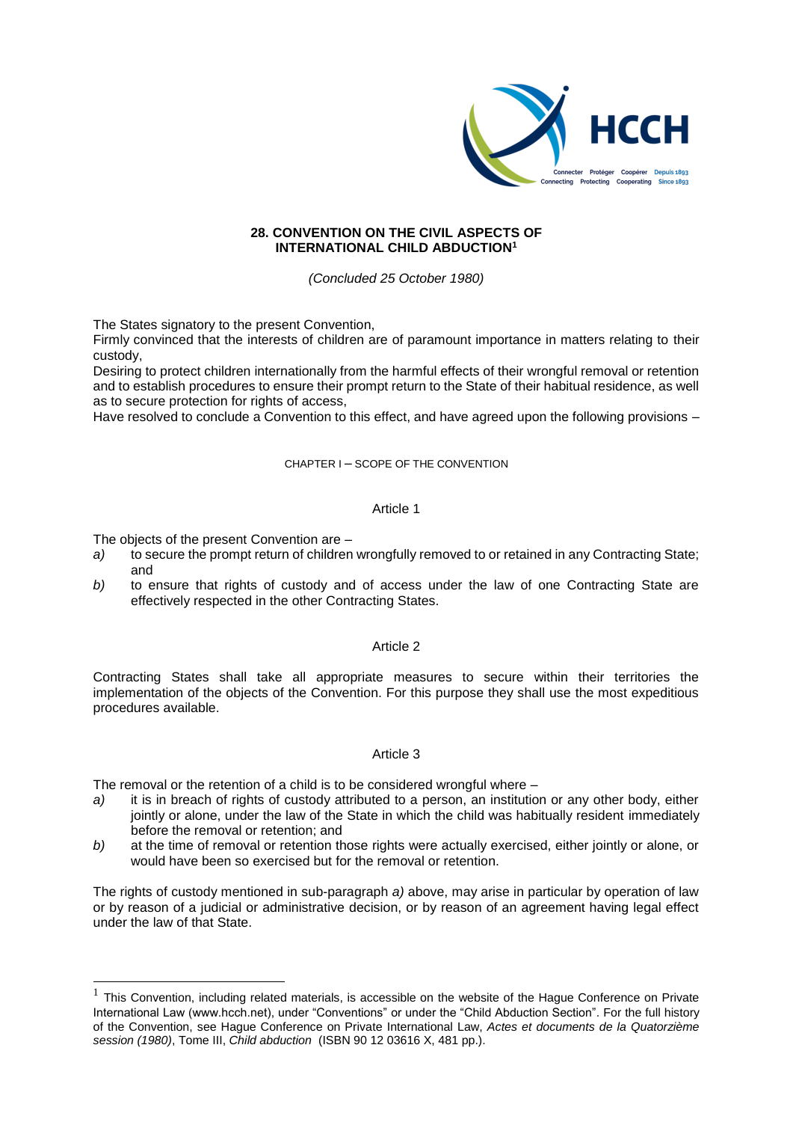

# **28. CONVENTION ON THE CIVIL ASPECTS OF INTERNATIONAL CHILD ABDUCTION<sup>1</sup>**

*(Concluded 25 October 1980)* 

The States signatory to the present Convention,

Firmly convinced that the interests of children are of paramount importance in matters relating to their custody,

Desiring to protect children internationally from the harmful effects of their wrongful removal or retention and to establish procedures to ensure their prompt return to the State of their habitual residence, as well as to secure protection for rights of access,

Have resolved to conclude a Convention to this effect, and have agreed upon the following provisions –

#### CHAPTER I – SCOPE OF THE CONVENTION

#### Article 1

The objects of the present Convention are –

- *a)* to secure the prompt return of children wrongfully removed to or retained in any Contracting State; and
- *b)* to ensure that rights of custody and of access under the law of one Contracting State are effectively respected in the other Contracting States.

#### Article 2

Contracting States shall take all appropriate measures to secure within their territories the implementation of the objects of the Convention. For this purpose they shall use the most expeditious procedures available.

### Article 3

The removal or the retention of a child is to be considered wrongful where –

- *a)* it is in breach of rights of custody attributed to a person, an institution or any other body, either jointly or alone, under the law of the State in which the child was habitually resident immediately before the removal or retention; and
- *b)* at the time of removal or retention those rights were actually exercised, either jointly or alone, or would have been so exercised but for the removal or retention.

The rights of custody mentioned in sub-paragraph *a)* above, may arise in particular by operation of law or by reason of a judicial or administrative decision, or by reason of an agreement having legal effect under the law of that State.

 $1$  This Convention, including related materials, is accessible on the website of the Hague Conference on Private International Law (www.hcch.net), under "Conventions" or under the "Child Abduction Section". For the full history of the Convention, see Hague Conference on Private International Law, *Actes et documents de la Quatorzième session (1980)*, Tome III, *Child abduction* (ISBN 90 12 03616 X, 481 pp.).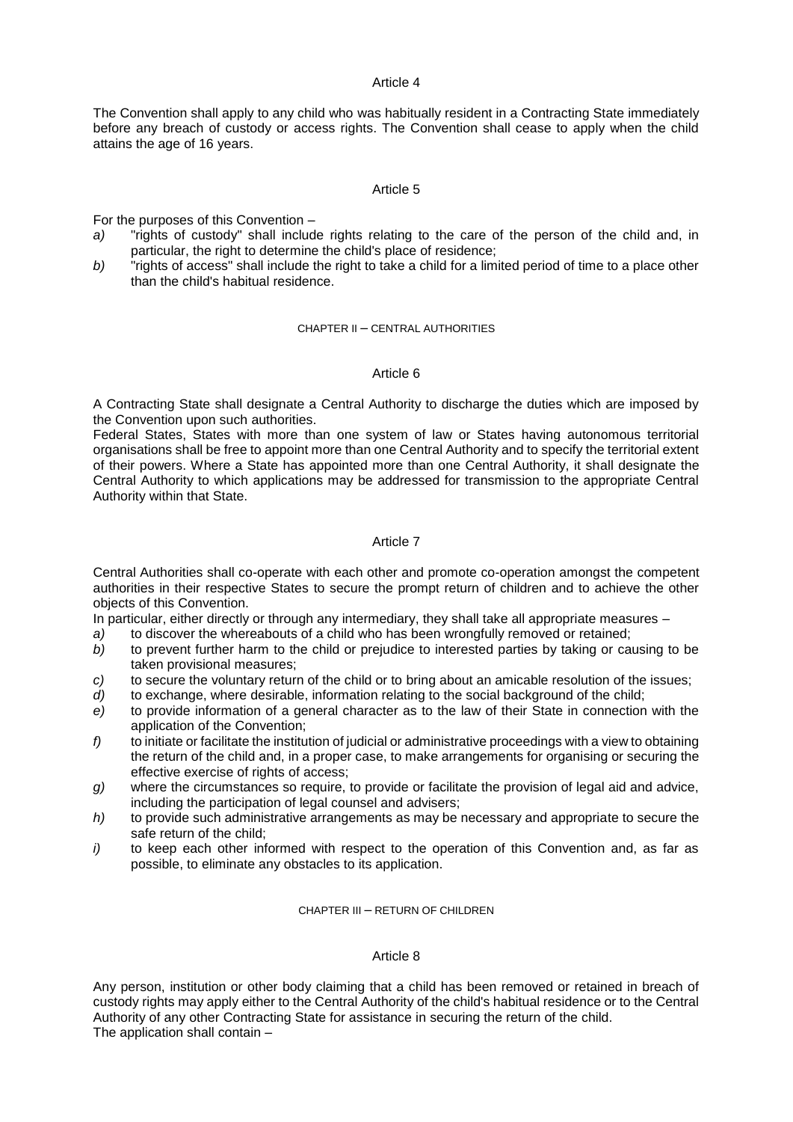The Convention shall apply to any child who was habitually resident in a Contracting State immediately before any breach of custody or access rights. The Convention shall cease to apply when the child attains the age of 16 years.

#### Article 5

For the purposes of this Convention –

- *a)* "rights of custody" shall include rights relating to the care of the person of the child and, in particular, the right to determine the child's place of residence;
- *b)* "rights of access" shall include the right to take a child for a limited period of time to a place other than the child's habitual residence.

#### CHAPTER II – CENTRAL AUTHORITIES

# Article 6

A Contracting State shall designate a Central Authority to discharge the duties which are imposed by the Convention upon such authorities.

Federal States, States with more than one system of law or States having autonomous territorial organisations shall be free to appoint more than one Central Authority and to specify the territorial extent of their powers. Where a State has appointed more than one Central Authority, it shall designate the Central Authority to which applications may be addressed for transmission to the appropriate Central Authority within that State.

# Article 7

Central Authorities shall co-operate with each other and promote co-operation amongst the competent authorities in their respective States to secure the prompt return of children and to achieve the other objects of this Convention.

In particular, either directly or through any intermediary, they shall take all appropriate measures –

- *a*) to discover the whereabouts of a child who has been wrongfully removed or retained;<br>*b*) to prevent further harm to the child or prejudice to interested parties by taking or ca
- *b)* to prevent further harm to the child or prejudice to interested parties by taking or causing to be taken provisional measures;
- *c)* to secure the voluntary return of the child or to bring about an amicable resolution of the issues;
- *d)* to exchange, where desirable, information relating to the social background of the child;
- *e)* to provide information of a general character as to the law of their State in connection with the application of the Convention;
- *f)* to initiate or facilitate the institution of judicial or administrative proceedings with a view to obtaining the return of the child and, in a proper case, to make arrangements for organising or securing the effective exercise of rights of access:
- *g)* where the circumstances so require, to provide or facilitate the provision of legal aid and advice, including the participation of legal counsel and advisers;
- *h)* to provide such administrative arrangements as may be necessary and appropriate to secure the safe return of the child;
- *i*) to keep each other informed with respect to the operation of this Convention and, as far as possible, to eliminate any obstacles to its application.

# CHAPTER III – RETURN OF CHILDREN

#### Article 8

Any person, institution or other body claiming that a child has been removed or retained in breach of custody rights may apply either to the Central Authority of the child's habitual residence or to the Central Authority of any other Contracting State for assistance in securing the return of the child. The application shall contain –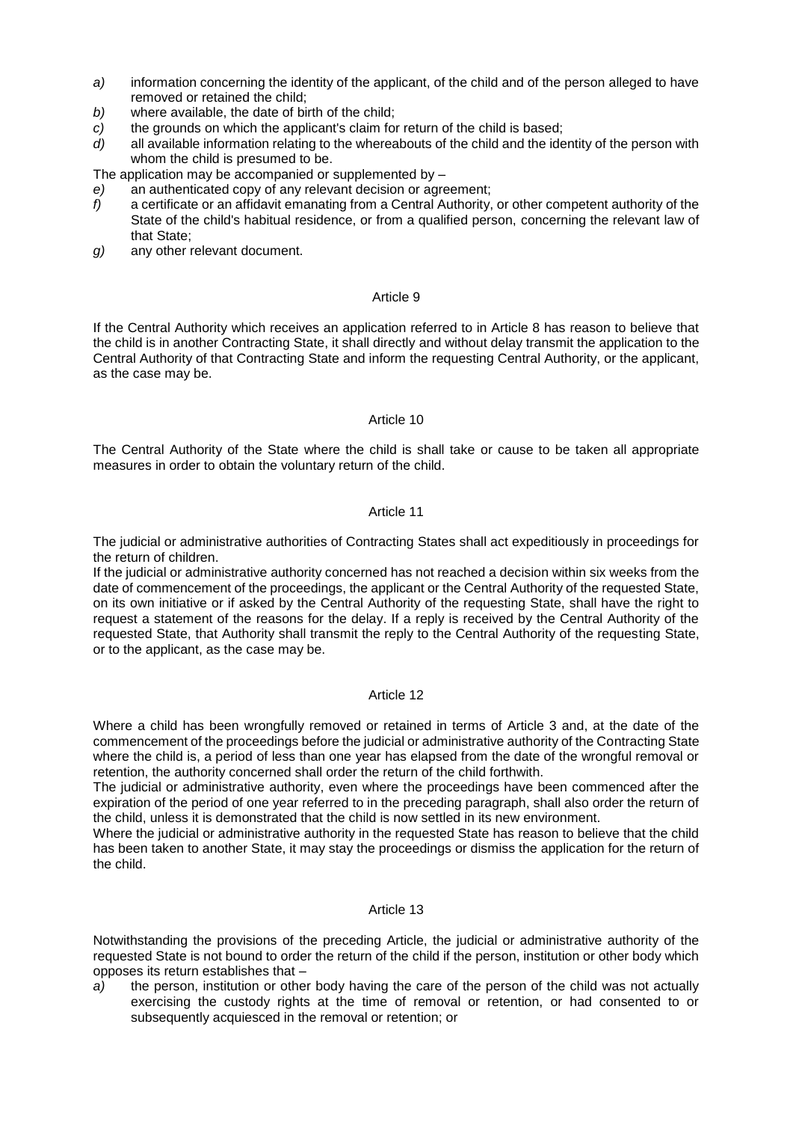- *a)* information concerning the identity of the applicant, of the child and of the person alleged to have removed or retained the child;
- *b)* where available, the date of birth of the child;
- *c)* the grounds on which the applicant's claim for return of the child is based;
- *d)* all available information relating to the whereabouts of the child and the identity of the person with whom the child is presumed to be.

The application may be accompanied or supplemented by  $-$ 

- *e)* an authenticated copy of any relevant decision or agreement;
- *f)* a certificate or an affidavit emanating from a Central Authority, or other competent authority of the State of the child's habitual residence, or from a qualified person, concerning the relevant law of that State;
- *g)* any other relevant document.

# Article 9

If the Central Authority which receives an application referred to in Article 8 has reason to believe that the child is in another Contracting State, it shall directly and without delay transmit the application to the Central Authority of that Contracting State and inform the requesting Central Authority, or the applicant, as the case may be.

# Article 10

The Central Authority of the State where the child is shall take or cause to be taken all appropriate measures in order to obtain the voluntary return of the child.

# Article 11

The judicial or administrative authorities of Contracting States shall act expeditiously in proceedings for the return of children.

If the judicial or administrative authority concerned has not reached a decision within six weeks from the date of commencement of the proceedings, the applicant or the Central Authority of the requested State, on its own initiative or if asked by the Central Authority of the requesting State, shall have the right to request a statement of the reasons for the delay. If a reply is received by the Central Authority of the requested State, that Authority shall transmit the reply to the Central Authority of the requesting State, or to the applicant, as the case may be.

# Article 12

Where a child has been wrongfully removed or retained in terms of Article 3 and, at the date of the commencement of the proceedings before the judicial or administrative authority of the Contracting State where the child is, a period of less than one year has elapsed from the date of the wrongful removal or retention, the authority concerned shall order the return of the child forthwith.

The judicial or administrative authority, even where the proceedings have been commenced after the expiration of the period of one year referred to in the preceding paragraph, shall also order the return of the child, unless it is demonstrated that the child is now settled in its new environment.

Where the judicial or administrative authority in the requested State has reason to believe that the child has been taken to another State, it may stay the proceedings or dismiss the application for the return of the child.

# Article 13

Notwithstanding the provisions of the preceding Article, the judicial or administrative authority of the requested State is not bound to order the return of the child if the person, institution or other body which opposes its return establishes that –

*a)* the person, institution or other body having the care of the person of the child was not actually exercising the custody rights at the time of removal or retention, or had consented to or subsequently acquiesced in the removal or retention; or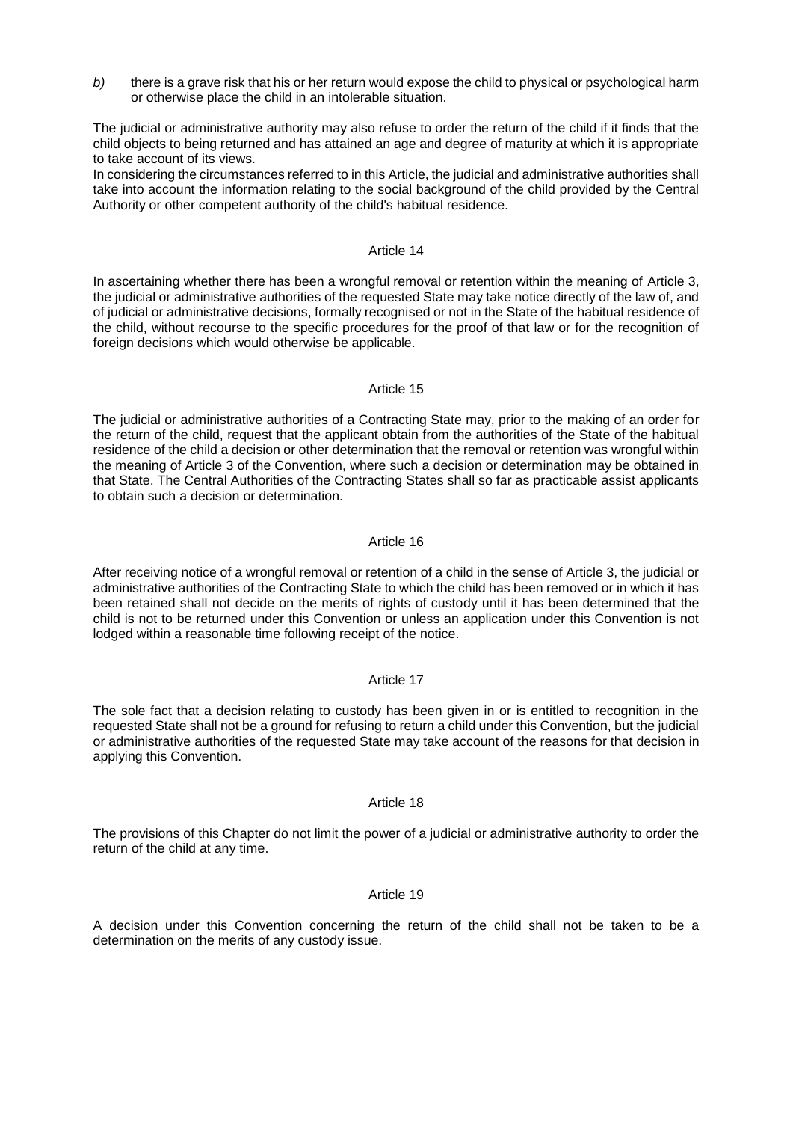*b)* there is a grave risk that his or her return would expose the child to physical or psychological harm or otherwise place the child in an intolerable situation.

The judicial or administrative authority may also refuse to order the return of the child if it finds that the child objects to being returned and has attained an age and degree of maturity at which it is appropriate to take account of its views.

In considering the circumstances referred to in this Article, the judicial and administrative authorities shall take into account the information relating to the social background of the child provided by the Central Authority or other competent authority of the child's habitual residence.

# Article 14

In ascertaining whether there has been a wrongful removal or retention within the meaning of Article 3, the judicial or administrative authorities of the requested State may take notice directly of the law of, and of judicial or administrative decisions, formally recognised or not in the State of the habitual residence of the child, without recourse to the specific procedures for the proof of that law or for the recognition of foreign decisions which would otherwise be applicable.

# Article 15

The judicial or administrative authorities of a Contracting State may, prior to the making of an order for the return of the child, request that the applicant obtain from the authorities of the State of the habitual residence of the child a decision or other determination that the removal or retention was wrongful within the meaning of Article 3 of the Convention, where such a decision or determination may be obtained in that State. The Central Authorities of the Contracting States shall so far as practicable assist applicants to obtain such a decision or determination.

# Article 16

After receiving notice of a wrongful removal or retention of a child in the sense of Article 3, the judicial or administrative authorities of the Contracting State to which the child has been removed or in which it has been retained shall not decide on the merits of rights of custody until it has been determined that the child is not to be returned under this Convention or unless an application under this Convention is not lodged within a reasonable time following receipt of the notice.

# Article 17

The sole fact that a decision relating to custody has been given in or is entitled to recognition in the requested State shall not be a ground for refusing to return a child under this Convention, but the judicial or administrative authorities of the requested State may take account of the reasons for that decision in applying this Convention.

# Article 18

The provisions of this Chapter do not limit the power of a judicial or administrative authority to order the return of the child at any time.

# Article 19

A decision under this Convention concerning the return of the child shall not be taken to be a determination on the merits of any custody issue.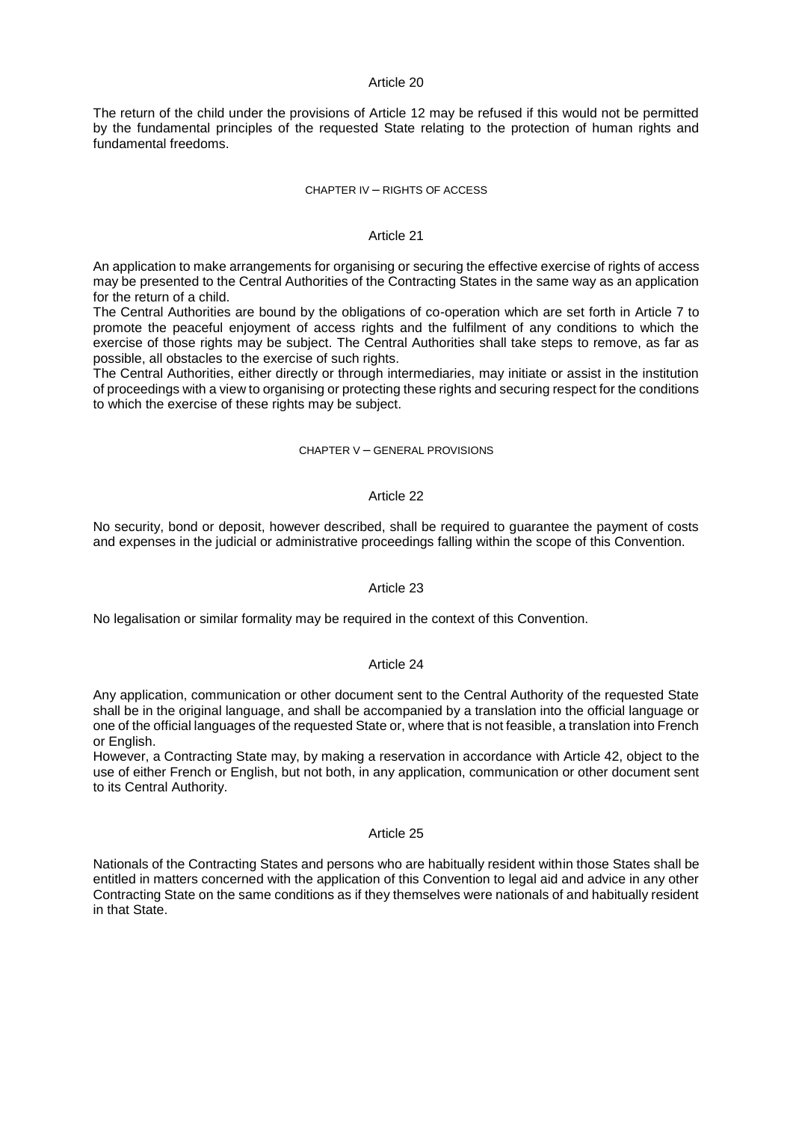The return of the child under the provisions of Article 12 may be refused if this would not be permitted by the fundamental principles of the requested State relating to the protection of human rights and fundamental freedoms.

#### CHAPTER IV – RIGHTS OF ACCESS

### Article 21

An application to make arrangements for organising or securing the effective exercise of rights of access may be presented to the Central Authorities of the Contracting States in the same way as an application for the return of a child.

The Central Authorities are bound by the obligations of co-operation which are set forth in Article 7 to promote the peaceful enjoyment of access rights and the fulfilment of any conditions to which the exercise of those rights may be subject. The Central Authorities shall take steps to remove, as far as possible, all obstacles to the exercise of such rights.

The Central Authorities, either directly or through intermediaries, may initiate or assist in the institution of proceedings with a view to organising or protecting these rights and securing respect for the conditions to which the exercise of these rights may be subject.

#### CHAPTER V – GENERAL PROVISIONS

# Article 22

No security, bond or deposit, however described, shall be required to guarantee the payment of costs and expenses in the judicial or administrative proceedings falling within the scope of this Convention.

# Article 23

No legalisation or similar formality may be required in the context of this Convention.

# Article 24

Any application, communication or other document sent to the Central Authority of the requested State shall be in the original language, and shall be accompanied by a translation into the official language or one of the official languages of the requested State or, where that is not feasible, a translation into French or English.

However, a Contracting State may, by making a reservation in accordance with Article 42, object to the use of either French or English, but not both, in any application, communication or other document sent to its Central Authority.

# Article 25

Nationals of the Contracting States and persons who are habitually resident within those States shall be entitled in matters concerned with the application of this Convention to legal aid and advice in any other Contracting State on the same conditions as if they themselves were nationals of and habitually resident in that State.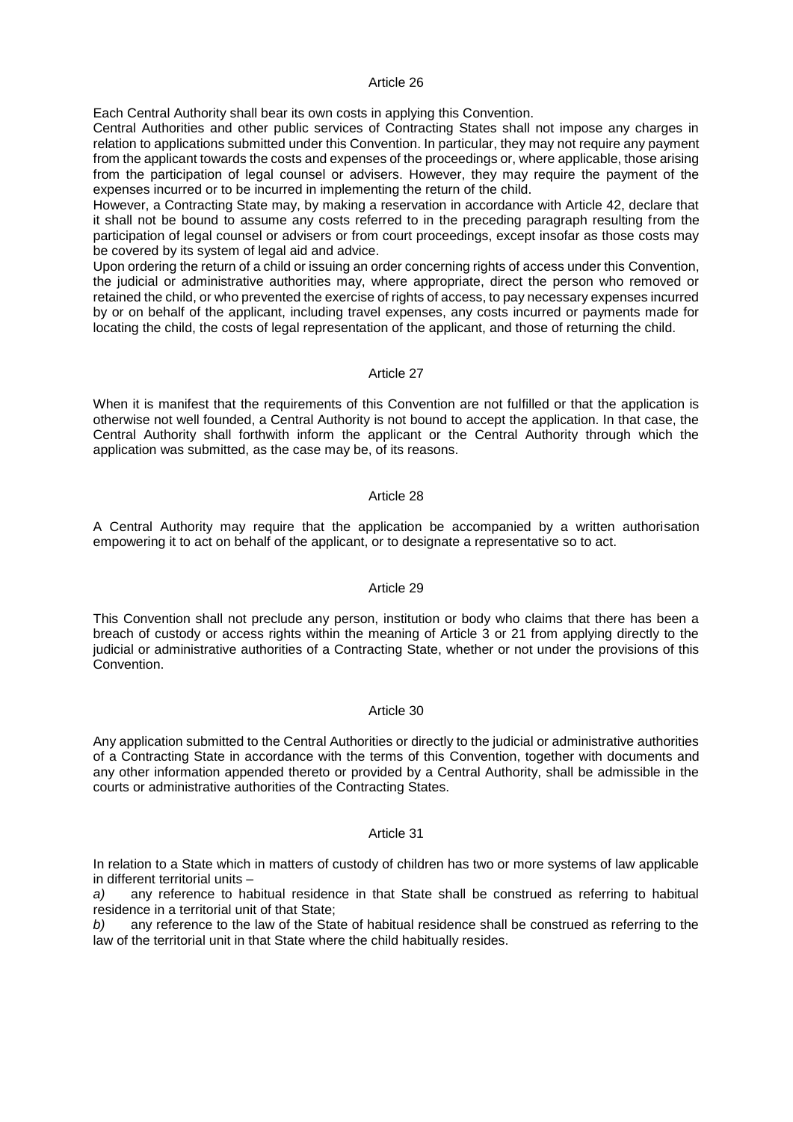Each Central Authority shall bear its own costs in applying this Convention.

Central Authorities and other public services of Contracting States shall not impose any charges in relation to applications submitted under this Convention. In particular, they may not require any payment from the applicant towards the costs and expenses of the proceedings or, where applicable, those arising from the participation of legal counsel or advisers. However, they may require the payment of the expenses incurred or to be incurred in implementing the return of the child.

However, a Contracting State may, by making a reservation in accordance with Article 42, declare that it shall not be bound to assume any costs referred to in the preceding paragraph resulting from the participation of legal counsel or advisers or from court proceedings, except insofar as those costs may be covered by its system of legal aid and advice.

Upon ordering the return of a child or issuing an order concerning rights of access under this Convention, the judicial or administrative authorities may, where appropriate, direct the person who removed or retained the child, or who prevented the exercise of rights of access, to pay necessary expenses incurred by or on behalf of the applicant, including travel expenses, any costs incurred or payments made for locating the child, the costs of legal representation of the applicant, and those of returning the child.

# Article 27

When it is manifest that the requirements of this Convention are not fulfilled or that the application is otherwise not well founded, a Central Authority is not bound to accept the application. In that case, the Central Authority shall forthwith inform the applicant or the Central Authority through which the application was submitted, as the case may be, of its reasons.

# Article 28

A Central Authority may require that the application be accompanied by a written authorisation empowering it to act on behalf of the applicant, or to designate a representative so to act.

# Article 29

This Convention shall not preclude any person, institution or body who claims that there has been a breach of custody or access rights within the meaning of Article 3 or 21 from applying directly to the judicial or administrative authorities of a Contracting State, whether or not under the provisions of this Convention.

# Article 30

Any application submitted to the Central Authorities or directly to the judicial or administrative authorities of a Contracting State in accordance with the terms of this Convention, together with documents and any other information appended thereto or provided by a Central Authority, shall be admissible in the courts or administrative authorities of the Contracting States.

# Article 31

In relation to a State which in matters of custody of children has two or more systems of law applicable in different territorial units –

*a)* any reference to habitual residence in that State shall be construed as referring to habitual residence in a territorial unit of that State;

*b)* any reference to the law of the State of habitual residence shall be construed as referring to the law of the territorial unit in that State where the child habitually resides.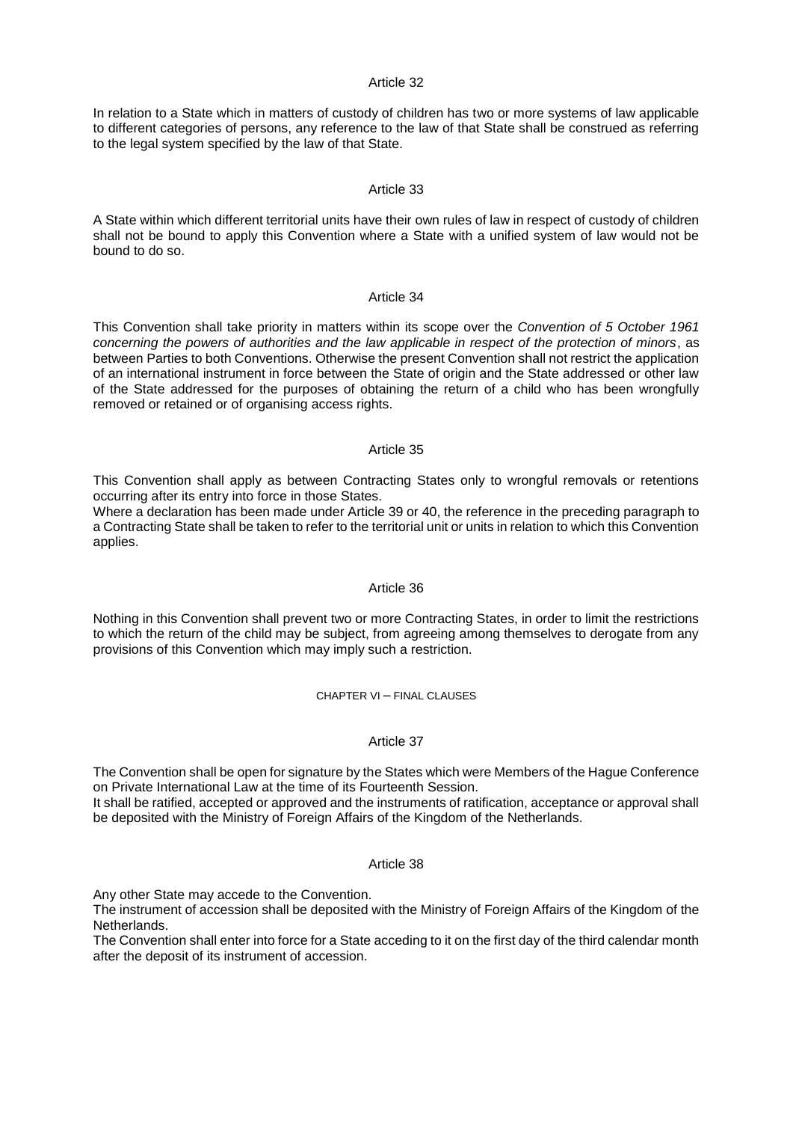In relation to a State which in matters of custody of children has two or more systems of law applicable to different categories of persons, any reference to the law of that State shall be construed as referring to the legal system specified by the law of that State.

# Article 33

A State within which different territorial units have their own rules of law in respect of custody of children shall not be bound to apply this Convention where a State with a unified system of law would not be bound to do so.

#### Article 34

This Convention shall take priority in matters within its scope over the *Convention of 5 October 1961 concerning the powers of authorities and the law applicable in respect of the protection of minors*, as between Parties to both Conventions. Otherwise the present Convention shall not restrict the application of an international instrument in force between the State of origin and the State addressed or other law of the State addressed for the purposes of obtaining the return of a child who has been wrongfully removed or retained or of organising access rights.

#### Article 35

This Convention shall apply as between Contracting States only to wrongful removals or retentions occurring after its entry into force in those States.

Where a declaration has been made under Article 39 or 40, the reference in the preceding paragraph to a Contracting State shall be taken to refer to the territorial unit or units in relation to which this Convention applies.

# Article 36

Nothing in this Convention shall prevent two or more Contracting States, in order to limit the restrictions to which the return of the child may be subject, from agreeing among themselves to derogate from any provisions of this Convention which may imply such a restriction.

#### CHAPTER VI – FINAL CLAUSES

# Article 37

The Convention shall be open for signature by the States which were Members of the Hague Conference on Private International Law at the time of its Fourteenth Session.

It shall be ratified, accepted or approved and the instruments of ratification, acceptance or approval shall be deposited with the Ministry of Foreign Affairs of the Kingdom of the Netherlands.

#### Article 38

Any other State may accede to the Convention.

The instrument of accession shall be deposited with the Ministry of Foreign Affairs of the Kingdom of the Netherlands.

The Convention shall enter into force for a State acceding to it on the first day of the third calendar month after the deposit of its instrument of accession.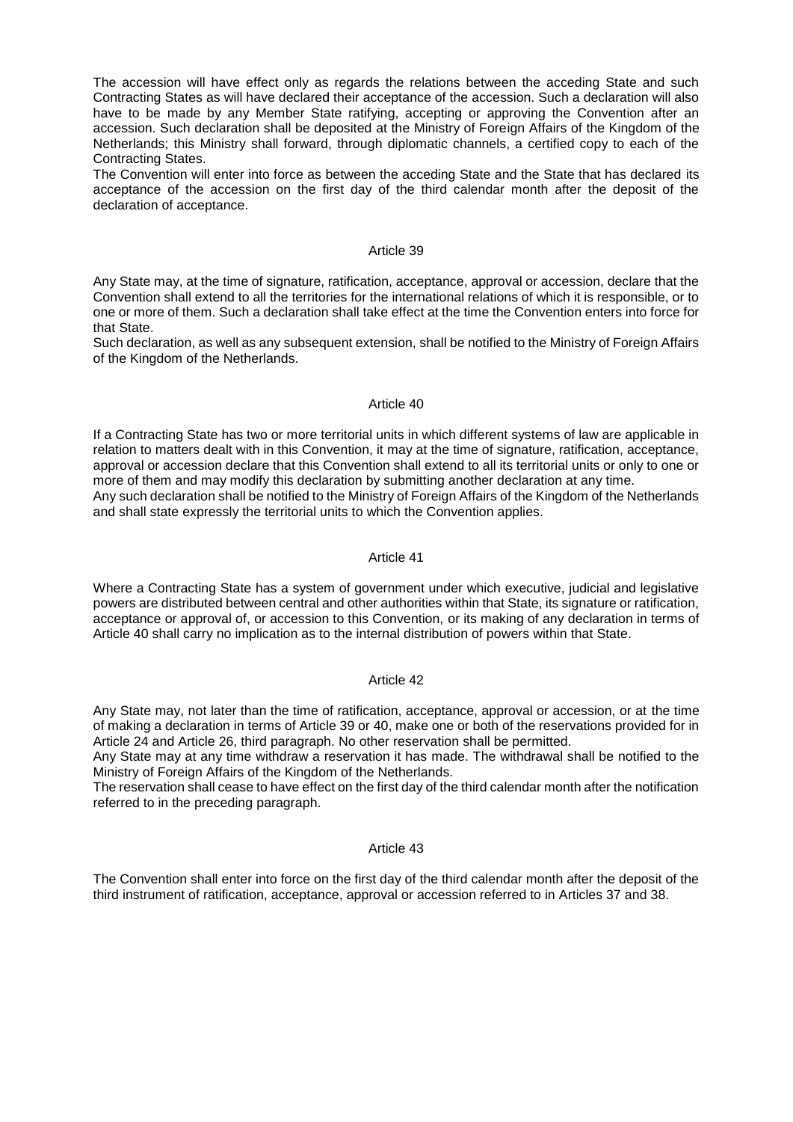The accession will have effect only as regards the relations between the acceding State and such Contracting States as will have declared their acceptance of the accession. Such a declaration will also have to be made by any Member State ratifying, accepting or approving the Convention after an accession. Such declaration shall be deposited at the Ministry of Foreign Affairs of the Kingdom of the Netherlands; this Ministry shall forward, through diplomatic channels, a certified copy to each of the Contracting States.

The Convention will enter into force as between the acceding State and the State that has declared its acceptance of the accession on the first day of the third calendar month after the deposit of the declaration of acceptance.

#### Article 39

Any State may, at the time of signature, ratification, acceptance, approval or accession, declare that the Convention shall extend to all the territories for the international relations of which it is responsible, or to one or more of them. Such a declaration shall take effect at the time the Convention enters into force for that State.

Such declaration, as well as any subsequent extension, shall be notified to the Ministry of Foreign Affairs of the Kingdom of the Netherlands.

#### Article 40

If a Contracting State has two or more territorial units in which different systems of law are applicable in relation to matters dealt with in this Convention, it may at the time of signature, ratification, acceptance, approval or accession declare that this Convention shall extend to all its territorial units or only to one or more of them and may modify this declaration by submitting another declaration at any time. Any such declaration shall be notified to the Ministry of Foreign Affairs of the Kingdom of the Netherlands and shall state expressly the territorial units to which the Convention applies.

#### Article 41

Where a Contracting State has a system of government under which executive, judicial and legislative powers are distributed between central and other authorities within that State, its signature or ratification, acceptance or approval of, or accession to this Convention, or its making of any declaration in terms of Article 40 shall carry no implication as to the internal distribution of powers within that State.

# Article 42

Any State may, not later than the time of ratification, acceptance, approval or accession, or at the time of making a declaration in terms of Article 39 or 40, make one or both of the reservations provided for in Article 24 and Article 26, third paragraph. No other reservation shall be permitted.

Any State may at any time withdraw a reservation it has made. The withdrawal shall be notified to the Ministry of Foreign Affairs of the Kingdom of the Netherlands.

The reservation shall cease to have effect on the first day of the third calendar month after the notification referred to in the preceding paragraph.

#### Article 43

The Convention shall enter into force on the first day of the third calendar month after the deposit of the third instrument of ratification, acceptance, approval or accession referred to in Articles 37 and 38.